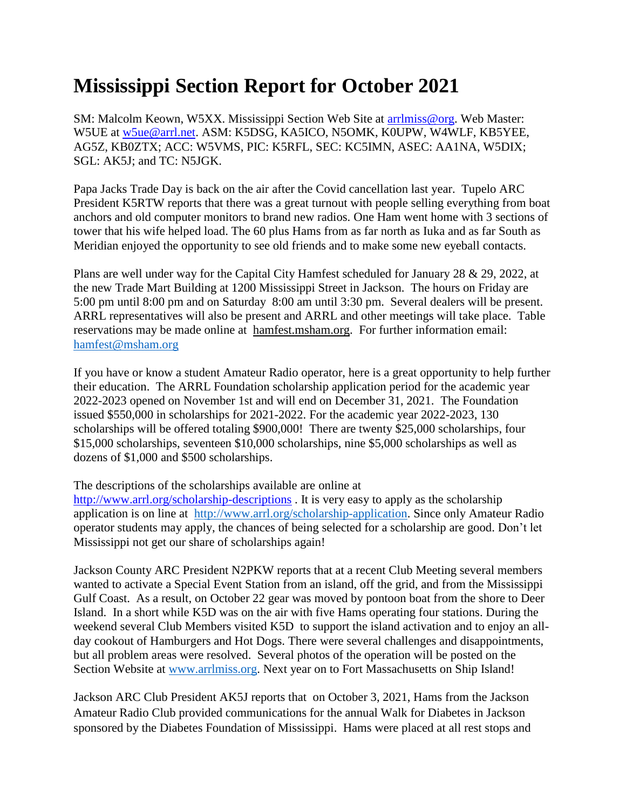## **Mississippi Section Report for October 2021**

SM: Malcolm Keown, W5XX. Mississippi Section Web Site at [arrlmiss@org.](mailto:arrlmiss@org) Web Master: W5UE at [w5ue@arrl.net.](mailto:w5ue@arrl.net) ASM: K5DSG, KA5ICO, N5OMK, K0UPW, W4WLF, KB5YEE, AG5Z, KB0ZTX; ACC: W5VMS, PIC: K5RFL, SEC: KC5IMN, ASEC: AA1NA, W5DIX; SGL: AK5J; and TC: N5JGK.

Papa Jacks Trade Day is back on the air after the Covid cancellation last year. Tupelo ARC President K5RTW reports that there was a great turnout with people selling everything from boat anchors and old computer monitors to brand new radios. One Ham went home with 3 sections of tower that his wife helped load. The 60 plus Hams from as far north as Iuka and as far South as Meridian enjoyed the opportunity to see old friends and to make some new eyeball contacts.

Plans are well under way for the Capital City Hamfest scheduled for January 28 & 29, 2022, at the new Trade Mart Building at 1200 Mississippi Street in Jackson. The hours on Friday are 5:00 pm until 8:00 pm and on Saturday 8:00 am until 3:30 pm. Several dealers will be present. ARRL representatives will also be present and ARRL and other meetings will take place. Table reservations may be made online at hamfest.msham.org. For further information email: [hamfest@msham.org](mailto:hamfest@msham.org)

If you have or know a student Amateur Radio operator, here is a great opportunity to help further their education. The ARRL Foundation scholarship application period for the academic year 2022-2023 opened on November 1st and will end on December 31, 2021. The Foundation issued \$550,000 in scholarships for 2021-2022. For the academic year 2022-2023, 130 scholarships will be offered totaling \$900,000! There are twenty \$25,000 scholarships, four \$15,000 scholarships, seventeen \$10,000 scholarships, nine \$5,000 scholarships as well as dozens of \$1,000 and \$500 scholarships.

## The descriptions of the scholarships available are online at

<http://www.arrl.org/scholarship-descriptions>. It is very easy to apply as the scholarship application is on line at [http://www.arrl.org/scholarship-application.](http://www.arrl.org/scholarship-application) Since only Amateur Radio operator students may apply, the chances of being selected for a scholarship are good. Don't let Mississippi not get our share of scholarships again!

Jackson County ARC President N2PKW reports that at a recent Club Meeting several members wanted to activate a Special Event Station from an island, off the grid, and from the Mississippi Gulf Coast. As a result, on October 22 gear was moved by pontoon boat from the shore to Deer Island. In a short while K5D was on the air with five Hams operating four stations. During the weekend several Club Members visited K5D to support the island activation and to enjoy an allday cookout of Hamburgers and Hot Dogs. There were several challenges and disappointments, but all problem areas were resolved. Several photos of the operation will be posted on the Section Website at [www.arrlmiss.org.](http://www.arrlmiss.org/) Next year on to Fort Massachusetts on Ship Island!

Jackson ARC Club President AK5J reports that on October 3, 2021, Hams from the Jackson Amateur Radio Club provided communications for the annual Walk for Diabetes in Jackson sponsored by the Diabetes Foundation of Mississippi. Hams were placed at all rest stops and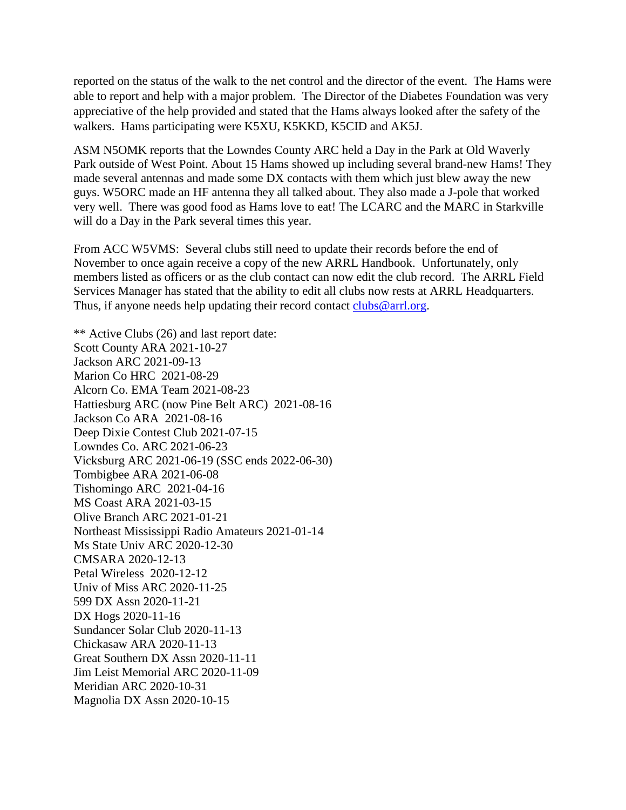reported on the status of the walk to the net control and the director of the event. The Hams were able to report and help with a major problem. The Director of the Diabetes Foundation was very appreciative of the help provided and stated that the Hams always looked after the safety of the walkers. Hams participating were K5XU, K5KKD, K5CID and AK5J.

ASM N5OMK reports that the Lowndes County ARC held a Day in the Park at Old Waverly Park outside of West Point. About 15 Hams showed up including several brand-new Hams! They made several antennas and made some DX contacts with them which just blew away the new guys. W5ORC made an HF antenna they all talked about. They also made a J-pole that worked very well. There was good food as Hams love to eat! The LCARC and the MARC in Starkville will do a Day in the Park several times this year.

From ACC W5VMS: Several clubs still need to update their records before the end of November to once again receive a copy of the new ARRL Handbook. Unfortunately, only members listed as officers or as the club contact can now edit the club record. The ARRL Field Services Manager has stated that the ability to edit all clubs now rests at ARRL Headquarters. Thus, if anyone needs help updating their record contact [clubs@arrl.org.](https://webmail.cablelynx.com/webmail/src/compose.php?send_to=clubs%40arrl.org)

\*\* Active Clubs (26) and last report date: Scott County ARA 2021-10-27 Jackson ARC 2021-09-13 Marion Co HRC 2021-08-29 Alcorn Co. EMA Team 2021-08-23 Hattiesburg ARC (now Pine Belt ARC) 2021-08-16 Jackson Co ARA 2021-08-16 Deep Dixie Contest Club 2021-07-15 Lowndes Co. ARC 2021-06-23 Vicksburg ARC 2021-06-19 (SSC ends 2022-06-30) Tombigbee ARA 2021-06-08 Tishomingo ARC 2021-04-16 MS Coast ARA 2021-03-15 Olive Branch ARC 2021-01-21 Northeast Mississippi Radio Amateurs 2021-01-14 Ms State Univ ARC 2020-12-30 CMSARA 2020-12-13 Petal Wireless 2020-12-12 Univ of Miss ARC 2020-11-25 599 DX Assn 2020-11-21 DX Hogs 2020-11-16 Sundancer Solar Club 2020-11-13 Chickasaw ARA 2020-11-13 Great Southern DX Assn 2020-11-11 Jim Leist Memorial ARC 2020-11-09 Meridian ARC 2020-10-31 Magnolia DX Assn 2020-10-15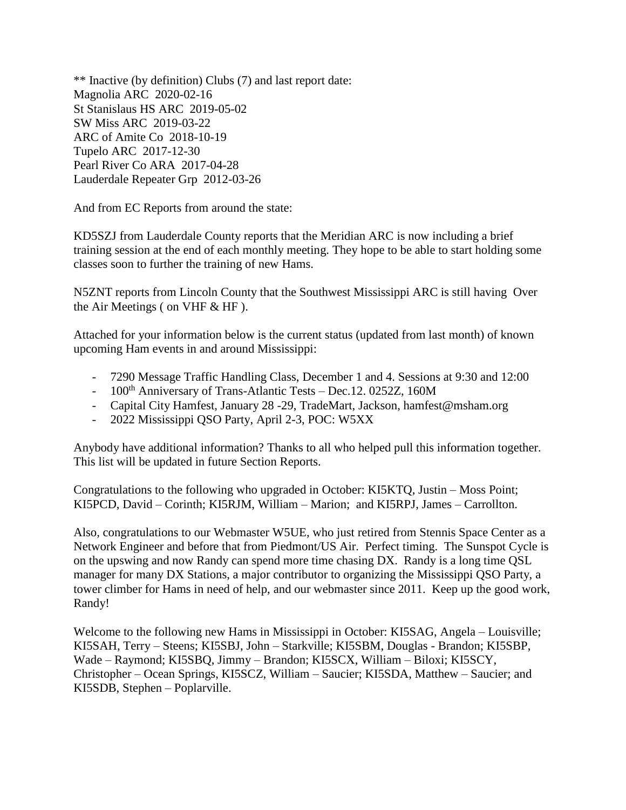\*\* Inactive (by definition) Clubs (7) and last report date: Magnolia ARC 2020-02-16 St Stanislaus HS ARC 2019-05-02 SW Miss ARC 2019-03-22 ARC of Amite Co 2018-10-19 Tupelo ARC 2017-12-30 Pearl River Co ARA 2017-04-28 Lauderdale Repeater Grp 2012-03-26

And from EC Reports from around the state:

KD5SZJ from Lauderdale County reports that the Meridian ARC is now including a brief training session at the end of each monthly meeting. They hope to be able to start holding some classes soon to further the training of new Hams.

N5ZNT reports from Lincoln County that the Southwest Mississippi ARC is still having Over the Air Meetings ( on VHF & HF ).

Attached for your information below is the current status (updated from last month) of known upcoming Ham events in and around Mississippi:

- 7290 Message Traffic Handling Class, December 1 and 4. Sessions at 9:30 and 12:00
- $100<sup>th</sup>$  Anniversary of Trans-Atlantic Tests Dec. 12. 0252Z, 160M
- Capital City Hamfest, January 28 -29, TradeMart, Jackson, hamfest@msham.org
- 2022 Mississippi QSO Party, April 2-3, POC: W5XX

Anybody have additional information? Thanks to all who helped pull this information together. This list will be updated in future Section Reports.

Congratulations to the following who upgraded in October: KI5KTQ, Justin – Moss Point; KI5PCD, David – Corinth; KI5RJM, William – Marion; and KI5RPJ, James – Carrollton.

Also, congratulations to our Webmaster W5UE, who just retired from Stennis Space Center as a Network Engineer and before that from Piedmont/US Air. Perfect timing. The Sunspot Cycle is on the upswing and now Randy can spend more time chasing DX. Randy is a long time QSL manager for many DX Stations, a major contributor to organizing the Mississippi QSO Party, a tower climber for Hams in need of help, and our webmaster since 2011. Keep up the good work, Randy!

Welcome to the following new Hams in Mississippi in October: KI5SAG, Angela – Louisville; KI5SAH, Terry – Steens; KI5SBJ, John – Starkville; KI5SBM, Douglas - Brandon; KI5SBP, Wade – Raymond; KI5SBQ, Jimmy – Brandon; KI5SCX, William – Biloxi; KI5SCY, Christopher – Ocean Springs, KI5SCZ, William – Saucier; KI5SDA, Matthew – Saucier; and KI5SDB, Stephen – Poplarville.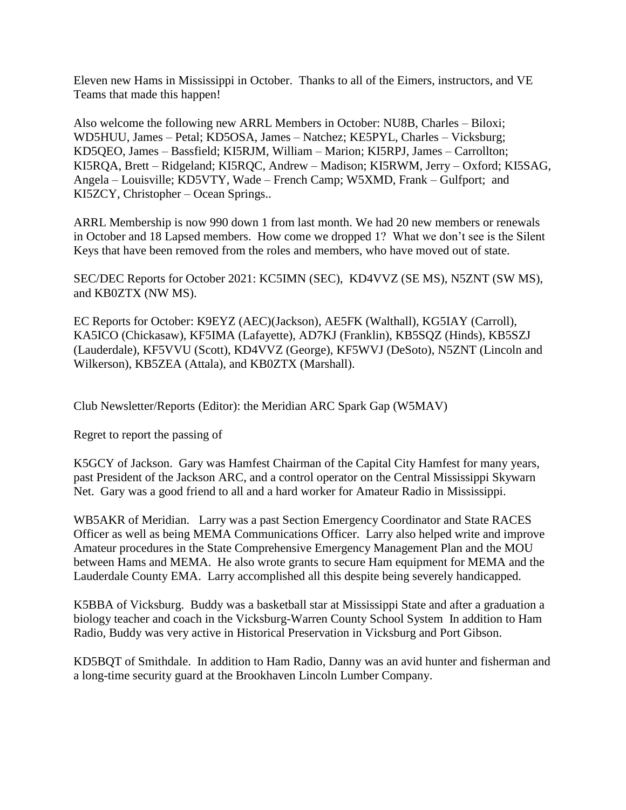Eleven new Hams in Mississippi in October. Thanks to all of the Eimers, instructors, and VE Teams that made this happen!

Also welcome the following new ARRL Members in October: NU8B, Charles – Biloxi; WD5HUU, James – Petal; KD5OSA, James – Natchez; KE5PYL, Charles – Vicksburg; KD5QEO, James – Bassfield; KI5RJM, William – Marion; KI5RPJ, James – Carrollton; KI5RQA, Brett – Ridgeland; KI5RQC, Andrew – Madison; KI5RWM, Jerry – Oxford; KI5SAG, Angela – Louisville; KD5VTY, Wade – French Camp; W5XMD, Frank – Gulfport; and KI5ZCY, Christopher – Ocean Springs..

ARRL Membership is now 990 down 1 from last month. We had 20 new members or renewals in October and 18 Lapsed members. How come we dropped 1? What we don't see is the Silent Keys that have been removed from the roles and members, who have moved out of state.

SEC/DEC Reports for October 2021: KC5IMN (SEC), KD4VVZ (SE MS), N5ZNT (SW MS), and KB0ZTX (NW MS).

EC Reports for October: K9EYZ (AEC)(Jackson), AE5FK (Walthall), KG5IAY (Carroll), KA5ICO (Chickasaw), KF5IMA (Lafayette), AD7KJ (Franklin), KB5SQZ (Hinds), KB5SZJ (Lauderdale), KF5VVU (Scott), KD4VVZ (George), KF5WVJ (DeSoto), N5ZNT (Lincoln and Wilkerson), KB5ZEA (Attala), and KB0ZTX (Marshall).

Club Newsletter/Reports (Editor): the Meridian ARC Spark Gap (W5MAV)

Regret to report the passing of

K5GCY of Jackson. Gary was Hamfest Chairman of the Capital City Hamfest for many years, past President of the Jackson ARC, and a control operator on the Central Mississippi Skywarn Net. Gary was a good friend to all and a hard worker for Amateur Radio in Mississippi.

WB5AKR of Meridian. Larry was a past Section Emergency Coordinator and State RACES Officer as well as being MEMA Communications Officer. Larry also helped write and improve Amateur procedures in the State Comprehensive Emergency Management Plan and the MOU between Hams and MEMA. He also wrote grants to secure Ham equipment for MEMA and the Lauderdale County EMA. Larry accomplished all this despite being severely handicapped.

K5BBA of Vicksburg. Buddy was a basketball star at Mississippi State and after a graduation a biology teacher and coach in the Vicksburg-Warren County School System In addition to Ham Radio, Buddy was very active in Historical Preservation in Vicksburg and Port Gibson.

KD5BQT of Smithdale. In addition to Ham Radio, Danny was an avid hunter and fisherman and a long-time security guard at the Brookhaven Lincoln Lumber Company.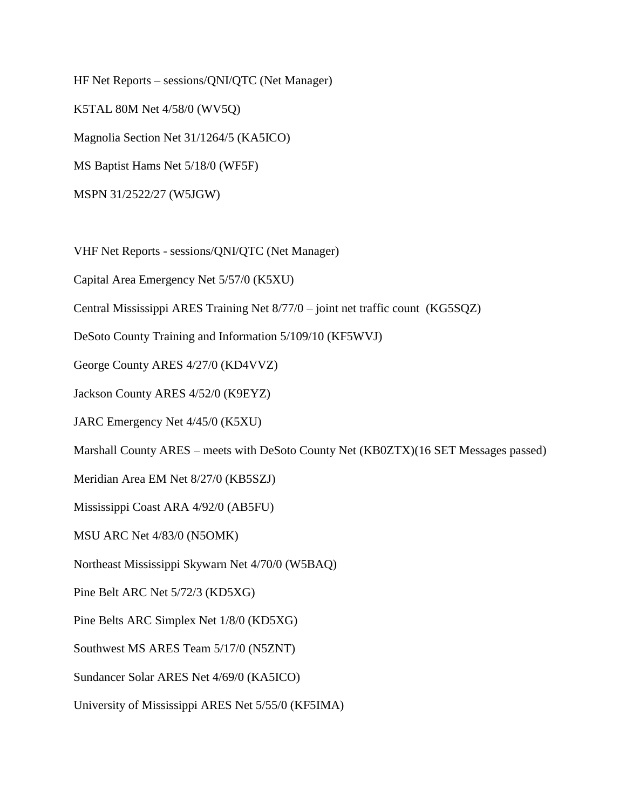HF Net Reports – sessions/QNI/QTC (Net Manager) K5TAL 80M Net 4/58/0 (WV5Q) Magnolia Section Net 31/1264/5 (KA5ICO) MS Baptist Hams Net 5/18/0 (WF5F) MSPN 31/2522/27 (W5JGW)

VHF Net Reports - sessions/QNI/QTC (Net Manager)

Capital Area Emergency Net 5/57/0 (K5XU)

Central Mississippi ARES Training Net 8/77/0 – joint net traffic count (KG5SQZ)

DeSoto County Training and Information 5/109/10 (KF5WVJ)

George County ARES 4/27/0 (KD4VVZ)

Jackson County ARES 4/52/0 (K9EYZ)

JARC Emergency Net 4/45/0 (K5XU)

Marshall County ARES – meets with DeSoto County Net (KB0ZTX)(16 SET Messages passed)

Meridian Area EM Net 8/27/0 (KB5SZJ)

Mississippi Coast ARA 4/92/0 (AB5FU)

MSU ARC Net 4/83/0 (N5OMK)

Northeast Mississippi Skywarn Net 4/70/0 (W5BAQ)

Pine Belt ARC Net 5/72/3 (KD5XG)

Pine Belts ARC Simplex Net 1/8/0 (KD5XG)

Southwest MS ARES Team 5/17/0 (N5ZNT)

Sundancer Solar ARES Net 4/69/0 (KA5ICO)

University of Mississippi ARES Net 5/55/0 (KF5IMA)